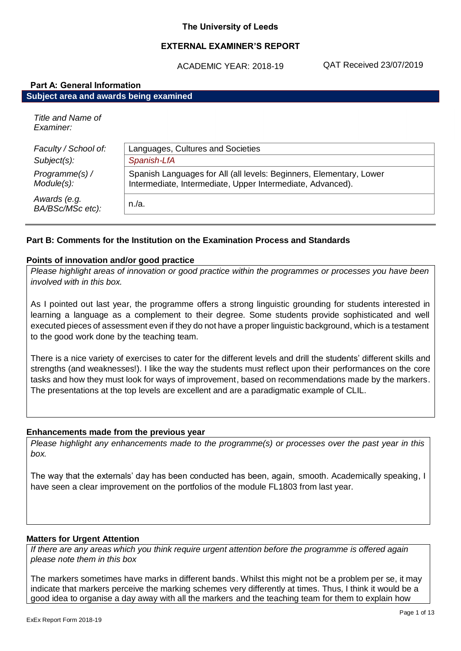## **EXTERNAL EXAMINER'S REPORT**

ACADEMIC YEAR: 2018-19

QAT Received 23/07/2019

| <b>Part A: General Information</b>     |                                                                     |  |
|----------------------------------------|---------------------------------------------------------------------|--|
| Subject area and awards being examined |                                                                     |  |
| Title and Name of<br>Examiner:         |                                                                     |  |
| Faculty / School of:                   | Languages, Cultures and Societies                                   |  |
| $Subject(s)$ :                         | Spanish-LfA                                                         |  |
| Programme(s) /                         | Spanish Languages for All (all levels: Beginners, Elementary, Lower |  |

Intermediate, Intermediate, Upper Intermediate, Advanced).

*Awards (e.g. BA/BSc/MSc etc):* n./a.

*Module(s):*

#### **Part B: Comments for the Institution on the Examination Process and Standards**

#### **Points of innovation and/or good practice**

*Please highlight areas of innovation or good practice within the programmes or processes you have been involved with in this box.*

As I pointed out last year, the programme offers a strong linguistic grounding for students interested in learning a language as a complement to their degree. Some students provide sophisticated and well executed pieces of assessment even if they do not have a proper linguistic background, which is a testament to the good work done by the teaching team.

There is a nice variety of exercises to cater for the different levels and drill the students' different skills and strengths (and weaknesses!). I like the way the students must reflect upon their performances on the core tasks and how they must look for ways of improvement, based on recommendations made by the markers. The presentations at the top levels are excellent and are a paradigmatic example of CLIL.

#### **Enhancements made from the previous year**

*Please highlight any enhancements made to the programme(s) or processes over the past year in this box.*

The way that the externals' day has been conducted has been, again, smooth. Academically speaking, I have seen a clear improvement on the portfolios of the module FL1803 from last year.

#### **Matters for Urgent Attention**

*If there are any areas which you think require urgent attention before the programme is offered again please note them in this box*

The markers sometimes have marks in different bands. Whilst this might not be a problem per se, it may indicate that markers perceive the marking schemes very differently at times. Thus, I think it would be a good idea to organise a day away with all the markers and the teaching team for them to explain how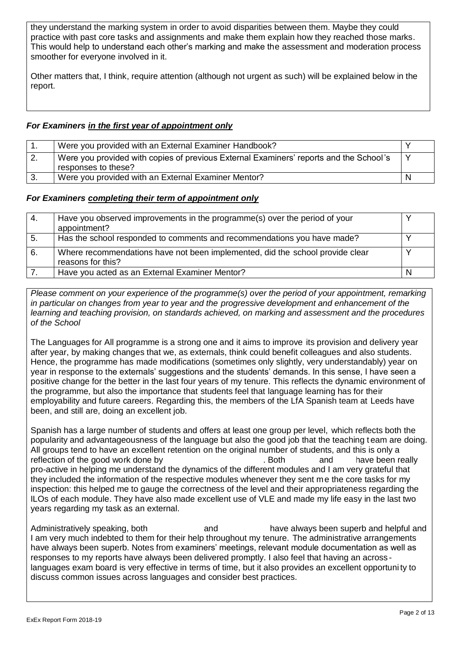they understand the marking system in order to avoid disparities between them. Maybe they could practice with past core tasks and assignments and make them explain how they reached those marks. This would help to understand each other's marking and make the assessment and moderation process smoother for everyone involved in it.

Other matters that, I think, require attention (although not urgent as such) will be explained below in the report.

# *For Examiners in the first year of appointment only*

|    | Were you provided with an External Examiner Handbook?                                                         |  |
|----|---------------------------------------------------------------------------------------------------------------|--|
| 2. | Were you provided with copies of previous External Examiners' reports and the School's<br>responses to these? |  |
|    | Were you provided with an External Examiner Mentor?                                                           |  |

## *For Examiners completing their term of appointment only*

| 4.  | Have you observed improvements in the programme(s) over the period of your<br>appointment?         |  |
|-----|----------------------------------------------------------------------------------------------------|--|
| -5. | Has the school responded to comments and recommendations you have made?                            |  |
| 6.  | Where recommendations have not been implemented, did the school provide clear<br>reasons for this? |  |
|     | Have you acted as an External Examiner Mentor?                                                     |  |

*Please comment on your experience of the programme(s) over the period of your appointment, remarking in particular on changes from year to year and the progressive development and enhancement of the learning and teaching provision, on standards achieved, on marking and assessment and the procedures of the School*

The Languages for All programme is a strong one and it aims to improve its provision and delivery year after year, by making changes that we, as externals, think could benefit colleagues and also students. Hence, the programme has made modifications (sometimes only slightly, very understandably) year on year in response to the externals' suggestions and the students' demands. In this sense, I have seen a positive change for the better in the last four years of my tenure. This reflects the dynamic environment of the programme, but also the importance that students feel that language learning has for their employability and future careers. Regarding this, the members of the LfA Spanish team at Leeds have been, and still are, doing an excellent job.

Spanish has a large number of students and offers at least one group per level, which reflects both the popularity and advantageousness of the language but also the good job that the teaching t eam are doing. All groups tend to have an excellent retention on the original number of students, and this is only a reflection of the good work done by **Example 20** and have been really pro-active in helping me understand the dynamics of the different modules and I am very grateful that they included the information of the respective modules whenever they sent me the core tasks for my inspection: this helped me to gauge the correctness of the level and their appropriateness regarding the ILOs of each module. They have also made excellent use of VLE and made my life easy in the last two years regarding my task as an external.

Administratively speaking, both and have always been superb and helpful and I am very much indebted to them for their help throughout my tenure. The administrative arrangements have always been superb. Notes from examiners' meetings, relevant module documentation as well as responses to my reports have always been delivered promptly. I also feel that having an across languages exam board is very effective in terms of time, but it also provides an excellent opportuni ty to discuss common issues across languages and consider best practices.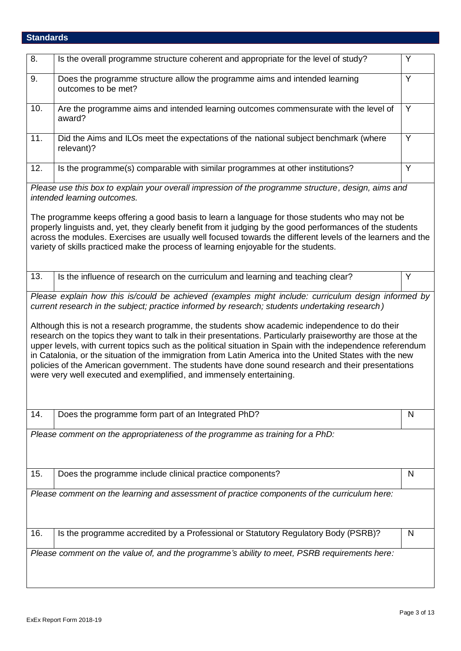# **Standards**

| 8.  | Is the overall programme structure coherent and appropriate for the level of study?                                                                                                                                                                                                                                                                                                                                                                                                                                                                                                                                                                                                                                      | Υ |
|-----|--------------------------------------------------------------------------------------------------------------------------------------------------------------------------------------------------------------------------------------------------------------------------------------------------------------------------------------------------------------------------------------------------------------------------------------------------------------------------------------------------------------------------------------------------------------------------------------------------------------------------------------------------------------------------------------------------------------------------|---|
| 9.  | Does the programme structure allow the programme aims and intended learning<br>outcomes to be met?                                                                                                                                                                                                                                                                                                                                                                                                                                                                                                                                                                                                                       | Y |
| 10. | Are the programme aims and intended learning outcomes commensurate with the level of<br>award?                                                                                                                                                                                                                                                                                                                                                                                                                                                                                                                                                                                                                           | Y |
| 11. | Did the Aims and ILOs meet the expectations of the national subject benchmark (where<br>relevant)?                                                                                                                                                                                                                                                                                                                                                                                                                                                                                                                                                                                                                       | Y |
| 12. | Is the programme(s) comparable with similar programmes at other institutions?                                                                                                                                                                                                                                                                                                                                                                                                                                                                                                                                                                                                                                            | Y |
|     | Please use this box to explain your overall impression of the programme structure, design, aims and<br>intended learning outcomes.                                                                                                                                                                                                                                                                                                                                                                                                                                                                                                                                                                                       |   |
|     | The programme keeps offering a good basis to learn a language for those students who may not be<br>properly linguists and, yet, they clearly benefit from it judging by the good performances of the students<br>across the modules. Exercises are usually well focused towards the different levels of the learners and the<br>variety of skills practiced make the process of learning enjoyable for the students.                                                                                                                                                                                                                                                                                                     |   |
| 13. | Is the influence of research on the curriculum and learning and teaching clear?                                                                                                                                                                                                                                                                                                                                                                                                                                                                                                                                                                                                                                          | Y |
|     | current research in the subject; practice informed by research; students undertaking research)<br>Although this is not a research programme, the students show academic independence to do their<br>research on the topics they want to talk in their presentations. Particularly praiseworthy are those at the<br>upper levels, with current topics such as the political situation in Spain with the independence referendum<br>in Catalonia, or the situation of the immigration from Latin America into the United States with the new<br>policies of the American government. The students have done sound research and their presentations<br>were very well executed and exemplified, and immensely entertaining. |   |
| 14. | Does the programme form part of an Integrated PhD?                                                                                                                                                                                                                                                                                                                                                                                                                                                                                                                                                                                                                                                                       | N |
|     | Please comment on the appropriateness of the programme as training for a PhD:                                                                                                                                                                                                                                                                                                                                                                                                                                                                                                                                                                                                                                            |   |
| 15. | Does the programme include clinical practice components?                                                                                                                                                                                                                                                                                                                                                                                                                                                                                                                                                                                                                                                                 | N |
|     | Please comment on the learning and assessment of practice components of the curriculum here:                                                                                                                                                                                                                                                                                                                                                                                                                                                                                                                                                                                                                             |   |
| 16. | Is the programme accredited by a Professional or Statutory Regulatory Body (PSRB)?                                                                                                                                                                                                                                                                                                                                                                                                                                                                                                                                                                                                                                       | N |
|     | Please comment on the value of, and the programme's ability to meet, PSRB requirements here:                                                                                                                                                                                                                                                                                                                                                                                                                                                                                                                                                                                                                             |   |

 $\overline{\phantom{a}}$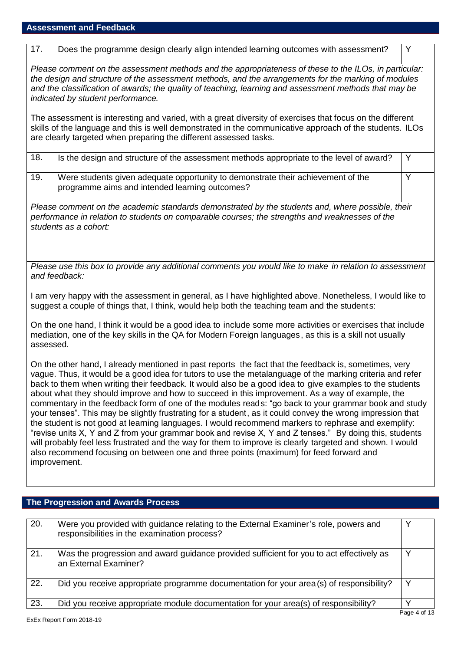| 17.                                                                                                                                                                                                                                                                                                                                                                                                                                                                                                                                                                                                                                                                                                                                                                                                                                                                                                                                                                                                                                                                            | Does the programme design clearly align intended learning outcomes with assessment?                                                                                                                                                                                                                                                                         | Y |
|--------------------------------------------------------------------------------------------------------------------------------------------------------------------------------------------------------------------------------------------------------------------------------------------------------------------------------------------------------------------------------------------------------------------------------------------------------------------------------------------------------------------------------------------------------------------------------------------------------------------------------------------------------------------------------------------------------------------------------------------------------------------------------------------------------------------------------------------------------------------------------------------------------------------------------------------------------------------------------------------------------------------------------------------------------------------------------|-------------------------------------------------------------------------------------------------------------------------------------------------------------------------------------------------------------------------------------------------------------------------------------------------------------------------------------------------------------|---|
|                                                                                                                                                                                                                                                                                                                                                                                                                                                                                                                                                                                                                                                                                                                                                                                                                                                                                                                                                                                                                                                                                | Please comment on the assessment methods and the appropriateness of these to the ILOs, in particular:<br>the design and structure of the assessment methods, and the arrangements for the marking of modules<br>and the classification of awards; the quality of teaching, learning and assessment methods that may be<br>indicated by student performance. |   |
|                                                                                                                                                                                                                                                                                                                                                                                                                                                                                                                                                                                                                                                                                                                                                                                                                                                                                                                                                                                                                                                                                | The assessment is interesting and varied, with a great diversity of exercises that focus on the different<br>skills of the language and this is well demonstrated in the communicative approach of the students. ILOs<br>are clearly targeted when preparing the different assessed tasks.                                                                  |   |
| 18.                                                                                                                                                                                                                                                                                                                                                                                                                                                                                                                                                                                                                                                                                                                                                                                                                                                                                                                                                                                                                                                                            | Is the design and structure of the assessment methods appropriate to the level of award?                                                                                                                                                                                                                                                                    | Y |
| 19.                                                                                                                                                                                                                                                                                                                                                                                                                                                                                                                                                                                                                                                                                                                                                                                                                                                                                                                                                                                                                                                                            | Were students given adequate opportunity to demonstrate their achievement of the<br>programme aims and intended learning outcomes?                                                                                                                                                                                                                          | Y |
|                                                                                                                                                                                                                                                                                                                                                                                                                                                                                                                                                                                                                                                                                                                                                                                                                                                                                                                                                                                                                                                                                | Please comment on the academic standards demonstrated by the students and, where possible, their<br>performance in relation to students on comparable courses; the strengths and weaknesses of the<br>students as a cohort:                                                                                                                                 |   |
|                                                                                                                                                                                                                                                                                                                                                                                                                                                                                                                                                                                                                                                                                                                                                                                                                                                                                                                                                                                                                                                                                | Please use this box to provide any additional comments you would like to make in relation to assessment<br>and feedback:                                                                                                                                                                                                                                    |   |
|                                                                                                                                                                                                                                                                                                                                                                                                                                                                                                                                                                                                                                                                                                                                                                                                                                                                                                                                                                                                                                                                                | I am very happy with the assessment in general, as I have highlighted above. Nonetheless, I would like to<br>suggest a couple of things that, I think, would help both the teaching team and the students:                                                                                                                                                  |   |
| assessed.                                                                                                                                                                                                                                                                                                                                                                                                                                                                                                                                                                                                                                                                                                                                                                                                                                                                                                                                                                                                                                                                      | On the one hand, I think it would be a good idea to include some more activities or exercises that include<br>mediation, one of the key skills in the QA for Modern Foreign languages, as this is a skill not usually                                                                                                                                       |   |
| On the other hand, I already mentioned in past reports the fact that the feedback is, sometimes, very<br>vague. Thus, it would be a good idea for tutors to use the metalanguage of the marking criteria and refer<br>back to them when writing their feedback. It would also be a good idea to give examples to the students<br>about what they should improve and how to succeed in this improvement. As a way of example, the<br>commentary in the feedback form of one of the modules reads: "go back to your grammar book and study<br>your tenses". This may be slightly frustrating for a student, as it could convey the wrong impression that<br>the student is not good at learning languages. I would recommend markers to rephrase and exemplify:<br>"revise units X, Y and Z from your grammar book and revise X, Y and Z tenses." By doing this, students<br>will probably feel less frustrated and the way for them to improve is clearly targeted and shown. I would<br>also recommend focusing on between one and three points (maximum) for feed forward and |                                                                                                                                                                                                                                                                                                                                                             |   |
|                                                                                                                                                                                                                                                                                                                                                                                                                                                                                                                                                                                                                                                                                                                                                                                                                                                                                                                                                                                                                                                                                | improvement.                                                                                                                                                                                                                                                                                                                                                |   |
|                                                                                                                                                                                                                                                                                                                                                                                                                                                                                                                                                                                                                                                                                                                                                                                                                                                                                                                                                                                                                                                                                | The Progression and Awards Process                                                                                                                                                                                                                                                                                                                          |   |
|                                                                                                                                                                                                                                                                                                                                                                                                                                                                                                                                                                                                                                                                                                                                                                                                                                                                                                                                                                                                                                                                                |                                                                                                                                                                                                                                                                                                                                                             |   |
| 20.                                                                                                                                                                                                                                                                                                                                                                                                                                                                                                                                                                                                                                                                                                                                                                                                                                                                                                                                                                                                                                                                            | Were you provided with guidance relating to the External Examiner's role, powers and<br>responsibilities in the examination process?                                                                                                                                                                                                                        | Υ |
| 21.                                                                                                                                                                                                                                                                                                                                                                                                                                                                                                                                                                                                                                                                                                                                                                                                                                                                                                                                                                                                                                                                            | Was the progression and award guidance provided sufficient for you to act effectively as<br>an External Examiner?                                                                                                                                                                                                                                           | Y |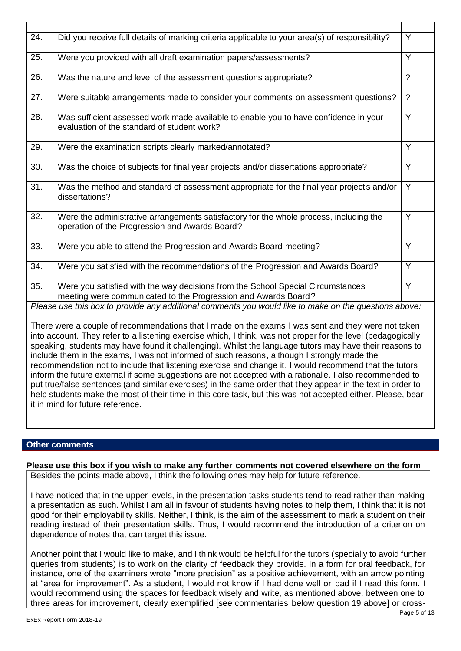| 24.               | Did you receive full details of marking criteria applicable to your area(s) of responsibility?                                                                                                                                                                                                                                                                                                                                                                                                                                                                                                                                                                                                                                                                                                                                                                                  | Y                  |
|-------------------|---------------------------------------------------------------------------------------------------------------------------------------------------------------------------------------------------------------------------------------------------------------------------------------------------------------------------------------------------------------------------------------------------------------------------------------------------------------------------------------------------------------------------------------------------------------------------------------------------------------------------------------------------------------------------------------------------------------------------------------------------------------------------------------------------------------------------------------------------------------------------------|--------------------|
| 25.               | Were you provided with all draft examination papers/assessments?                                                                                                                                                                                                                                                                                                                                                                                                                                                                                                                                                                                                                                                                                                                                                                                                                | Y                  |
| 26.               | Was the nature and level of the assessment questions appropriate?                                                                                                                                                                                                                                                                                                                                                                                                                                                                                                                                                                                                                                                                                                                                                                                                               | $\overline{?}$     |
| 27.               | Were suitable arrangements made to consider your comments on assessment questions?                                                                                                                                                                                                                                                                                                                                                                                                                                                                                                                                                                                                                                                                                                                                                                                              | $\overline{\cdot}$ |
| 28.               | Was sufficient assessed work made available to enable you to have confidence in your<br>evaluation of the standard of student work?                                                                                                                                                                                                                                                                                                                                                                                                                                                                                                                                                                                                                                                                                                                                             | $\overline{Y}$     |
| 29.               | Were the examination scripts clearly marked/annotated?                                                                                                                                                                                                                                                                                                                                                                                                                                                                                                                                                                                                                                                                                                                                                                                                                          | $\overline{Y}$     |
| 30.               | Was the choice of subjects for final year projects and/or dissertations appropriate?                                                                                                                                                                                                                                                                                                                                                                                                                                                                                                                                                                                                                                                                                                                                                                                            | $\overline{Y}$     |
| 31.               | Was the method and standard of assessment appropriate for the final year projects and/or<br>dissertations?                                                                                                                                                                                                                                                                                                                                                                                                                                                                                                                                                                                                                                                                                                                                                                      | $\overline{Y}$     |
| 32.               | Were the administrative arrangements satisfactory for the whole process, including the<br>operation of the Progression and Awards Board?                                                                                                                                                                                                                                                                                                                                                                                                                                                                                                                                                                                                                                                                                                                                        | $\overline{Y}$     |
| 33.               | Were you able to attend the Progression and Awards Board meeting?                                                                                                                                                                                                                                                                                                                                                                                                                                                                                                                                                                                                                                                                                                                                                                                                               | Y                  |
| $\overline{34}$ . | Were you satisfied with the recommendations of the Progression and Awards Board?                                                                                                                                                                                                                                                                                                                                                                                                                                                                                                                                                                                                                                                                                                                                                                                                | $\overline{Y}$     |
| 35.               | Were you satisfied with the way decisions from the School Special Circumstances<br>meeting were communicated to the Progression and Awards Board?                                                                                                                                                                                                                                                                                                                                                                                                                                                                                                                                                                                                                                                                                                                               | $\overline{Y}$     |
|                   | Please use this box to provide any additional comments you would like to make on the questions above:                                                                                                                                                                                                                                                                                                                                                                                                                                                                                                                                                                                                                                                                                                                                                                           |                    |
|                   | There were a couple of recommendations that I made on the exams I was sent and they were not taken<br>into account. They refer to a listening exercise which, I think, was not proper for the level (pedagogically<br>speaking, students may have found it challenging). Whilst the language tutors may have their reasons to<br>include them in the exams, I was not informed of such reasons, although I strongly made the<br>recommendation not to include that listening exercise and change it. I would recommend that the tutors<br>inform the future external if some suggestions are not accepted with a rationale. I also recommended to<br>put true/false sentences (and similar exercises) in the same order that they appear in the text in order to<br>help students make the most of their time in this core task, but this was not accepted either. Please, bear |                    |

#### **Other comments**

it in mind for future reference.

**Please use this box if you wish to make any further comments not covered elsewhere on the form** Besides the points made above, I think the following ones may help for future reference.

I have noticed that in the upper levels, in the presentation tasks students tend to read rather than making a presentation as such. Whilst I am all in favour of students having notes to help them, I think that it is not good for their employability skills. Neither, I think, is the aim of the assessment to mark a student on their reading instead of their presentation skills. Thus, I would recommend the introduction of a criterion on dependence of notes that can target this issue.

Another point that I would like to make, and I think would be helpful for the tutors (specially to avoid further queries from students) is to work on the clarity of feedback they provide. In a form for oral feedback, for instance, one of the examiners wrote "more precision" as a positive achievement, with an arrow pointing at "area for improvement". As a student, I would not know if I had done well or bad if I read this form. I would recommend using the spaces for feedback wisely and write, as mentioned above, between one to three areas for improvement, clearly exemplified [see commentaries below question 19 above] or cross-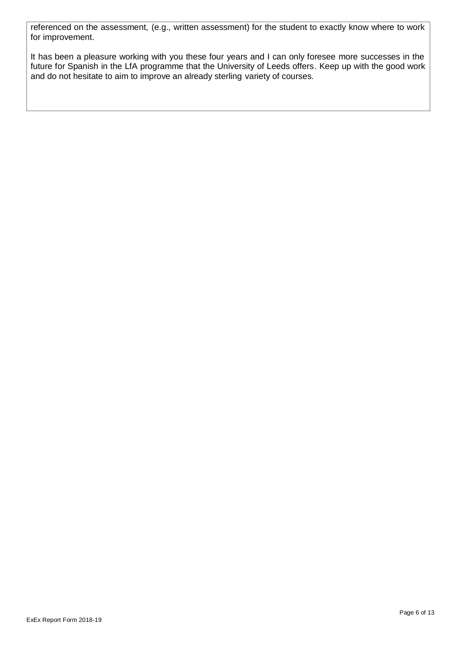referenced on the assessment, (e.g., written assessment) for the student to exactly know where to work for improvement.

It has been a pleasure working with you these four years and I can only foresee more successes in the future for Spanish in the LfA programme that the University of Leeds offers. Keep up with the good work and do not hesitate to aim to improve an already sterling variety of courses.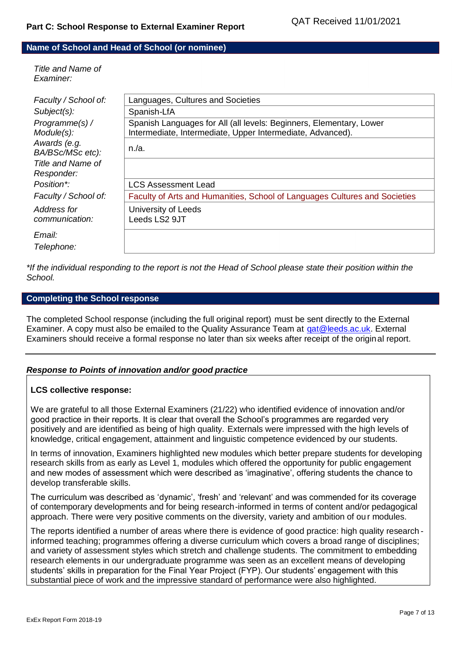#### **Name of School and Head of School (or nominee)**

*Title and Name of Examiner:*

| Faculty / School of:             | Languages, Cultures and Societies                                                                                                 |
|----------------------------------|-----------------------------------------------------------------------------------------------------------------------------------|
| $Subject(s)$ :                   | Spanish-LfA                                                                                                                       |
| Programme(s) /<br>Module(s):     | Spanish Languages for All (all levels: Beginners, Elementary, Lower<br>Intermediate, Intermediate, Upper Intermediate, Advanced). |
| Awards (e.g.<br>BA/BSc/MSc etc): | $n/a$ .                                                                                                                           |
| Title and Name of<br>Responder:  |                                                                                                                                   |
| Position*:                       | <b>LCS Assessment Lead</b>                                                                                                        |
| Faculty / School of:             | Faculty of Arts and Humanities, School of Languages Cultures and Societies                                                        |
| Address for<br>communication:    | University of Leeds<br>Leeds LS2 9JT                                                                                              |
| Email:<br>Telephone:             |                                                                                                                                   |

*\*If the individual responding to the report is not the Head of School please state their position within the School.*

#### **Completing the School response**

The completed School response (including the full original report) must be sent directly to the External Examiner. A copy must also be emailed to the Quality Assurance Team at [qat@leeds.ac.uk.](mailto:qat@leeds.ac.uk) External Examiners should receive a formal response no later than six weeks after receipt of the original report.

## *Response to Points of innovation and/or good practice*

#### **LCS collective response:**

We are grateful to all those External Examiners (21/22) who identified evidence of innovation and/or good practice in their reports. It is clear that overall the School's programmes are regarded very positively and are identified as being of high quality. Externals were impressed with the high levels of knowledge, critical engagement, attainment and linguistic competence evidenced by our students.

In terms of innovation, Examiners highlighted new modules which better prepare students for developing research skills from as early as Level 1, modules which offered the opportunity for public engagement and new modes of assessment which were described as 'imaginative', offering students the chance to develop transferable skills.

The curriculum was described as 'dynamic', 'fresh' and 'relevant' and was commended for its coverage of contemporary developments and for being research-informed in terms of content and/or pedagogical approach. There were very positive comments on the diversity, variety and ambition of ou r modules.

The reports identified a number of areas where there is evidence of good practice: high quality research informed teaching; programmes offering a diverse curriculum which covers a broad range of disciplines; and variety of assessment styles which stretch and challenge students. The commitment to embedding research elements in our undergraduate programme was seen as an excellent means of developing students' skills in preparation for the Final Year Project (FYP). Our students' engagement with this substantial piece of work and the impressive standard of performance were also highlighted.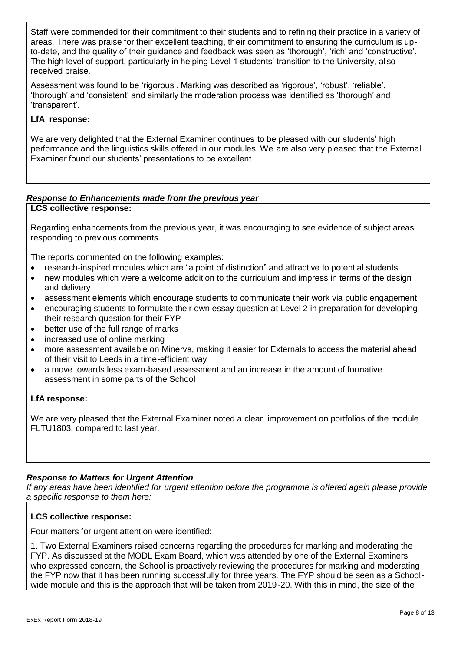Staff were commended for their commitment to their students and to refining their practice in a variety of areas. There was praise for their excellent teaching, their commitment to ensuring the curriculum is upto-date, and the quality of their guidance and feedback was seen as 'thorough', 'rich' and 'constructive'. The high level of support, particularly in helping Level 1 students' transition to the University, al so received praise.

Assessment was found to be 'rigorous'. Marking was described as 'rigorous', 'robust', 'reliable', 'thorough' and 'consistent' and similarly the moderation process was identified as 'thorough' and 'transparent'.

# **LfA response:**

We are very delighted that the External Examiner continues to be pleased with our students' high performance and the linguistics skills offered in our modules. We are also very pleased that the External Examiner found our students' presentations to be excellent.

#### *Response to Enhancements made from the previous year* **LCS collective response:**

Regarding enhancements from the previous year, it was encouraging to see evidence of subject areas

The reports commented on the following examples:

- research-inspired modules which are "a point of distinction" and attractive to potential students
- new modules which were a welcome addition to the curriculum and impress in terms of the design and delivery
- assessment elements which encourage students to communicate their work via public engagement
- encouraging students to formulate their own essay question at Level 2 in preparation for developing their research question for their FYP
- better use of the full range of marks
- increased use of online marking

responding to previous comments.

- more assessment available on Minerva, making it easier for Externals to access the material ahead of their visit to Leeds in a time-efficient way
- a move towards less exam-based assessment and an increase in the amount of formative assessment in some parts of the School

## **LfA response:**

We are very pleased that the External Examiner noted a clear improvement on portfolios of the module FLTU1803, compared to last year.

# *Response to Matters for Urgent Attention*

*If any areas have been identified for urgent attention before the programme is offered again please provide a specific response to them here:*

# **LCS collective response:**

Four matters for urgent attention were identified:

1. Two External Examiners raised concerns regarding the procedures for marking and moderating the FYP. As discussed at the MODL Exam Board, which was attended by one of the External Examiners who expressed concern, the School is proactively reviewing the procedures for marking and moderating the FYP now that it has been running successfully for three years. The FYP should be seen as a Schoolwide module and this is the approach that will be taken from 2019-20. With this in mind, the size of the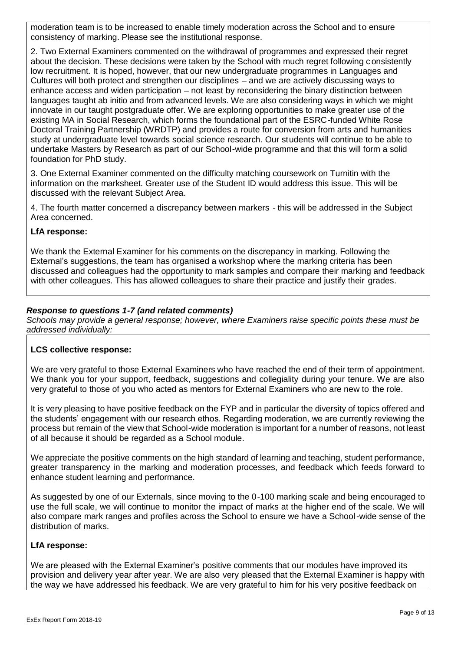moderation team is to be increased to enable timely moderation across the School and to ensure consistency of marking. Please see the institutional response.

2. Two External Examiners commented on the withdrawal of programmes and expressed their regret about the decision. These decisions were taken by the School with much regret following c onsistently low recruitment. It is hoped, however, that our new undergraduate programmes in Languages and Cultures will both protect and strengthen our disciplines – and we are actively discussing ways to enhance access and widen participation – not least by reconsidering the binary distinction between languages taught ab initio and from advanced levels. We are also considering ways in which we might innovate in our taught postgraduate offer. We are exploring opportunities to make greater use of the existing MA in Social Research, which forms the foundational part of the ESRC-funded White Rose Doctoral Training Partnership (WRDTP) and provides a route for conversion from arts and humanities study at undergraduate level towards social science research. Our students will continue to be able to undertake Masters by Research as part of our School-wide programme and that this will form a solid foundation for PhD study.

3. One External Examiner commented on the difficulty matching coursework on Turnitin with the information on the marksheet. Greater use of the Student ID would address this issue. This will be discussed with the relevant Subject Area.

4. The fourth matter concerned a discrepancy between markers - this will be addressed in the Subject Area concerned.

## **LfA response:**

We thank the External Examiner for his comments on the discrepancy in marking. Following the External's suggestions, the team has organised a workshop where the marking criteria has been discussed and colleagues had the opportunity to mark samples and compare their marking and feedback with other colleagues. This has allowed colleagues to share their practice and justify their grades.

## *Response to questions 1-7 (and related comments)*

*Schools may provide a general response; however, where Examiners raise specific points these must be addressed individually:*

## **LCS collective response:**

We are very grateful to those External Examiners who have reached the end of their term of appointment. We thank you for your support, feedback, suggestions and collegiality during your tenure. We are also very grateful to those of you who acted as mentors for External Examiners who are new to the role.

It is very pleasing to have positive feedback on the FYP and in particular the diversity of topics offered and the students' engagement with our research ethos. Regarding moderation, we are currently reviewing the process but remain of the view that School-wide moderation is important for a number of reasons, not least of all because it should be regarded as a School module.

We appreciate the positive comments on the high standard of learning and teaching, student performance, greater transparency in the marking and moderation processes, and feedback which feeds forward to enhance student learning and performance.

As suggested by one of our Externals, since moving to the 0-100 marking scale and being encouraged to use the full scale, we will continue to monitor the impact of marks at the higher end of the scale. We will also compare mark ranges and profiles across the School to ensure we have a School-wide sense of the distribution of marks.

## **LfA response:**

We are pleased with the External Examiner's positive comments that our modules have improved its provision and delivery year after year. We are also very pleased that the External Examiner is happy with the way we have addressed his feedback. We are very grateful to him for his very positive feedback on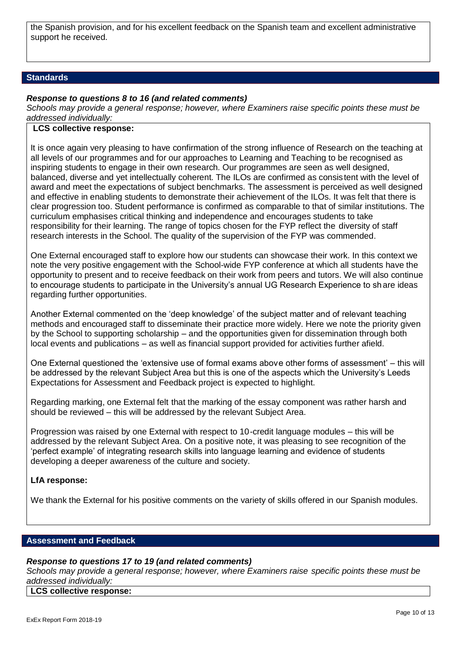the Spanish provision, and for his excellent feedback on the Spanish team and excellent administrative support he received.

#### **Standards**

#### *Response to questions 8 to 16 (and related comments)*

*Schools may provide a general response; however, where Examiners raise specific points these must be addressed individually:*

#### **LCS collective response:**

It is once again very pleasing to have confirmation of the strong influence of Research on the teaching at all levels of our programmes and for our approaches to Learning and Teaching to be recognised as inspiring students to engage in their own research. Our programmes are seen as well designed, balanced, diverse and yet intellectually coherent. The ILOs are confirmed as consis tent with the level of award and meet the expectations of subject benchmarks. The assessment is perceived as well designed and effective in enabling students to demonstrate their achievement of the ILOs. It was felt that there is clear progression too. Student performance is confirmed as comparable to that of similar institutions. The curriculum emphasises critical thinking and independence and encourages students to take responsibility for their learning. The range of topics chosen for the FYP reflect the diversity of staff research interests in the School. The quality of the supervision of the FYP was commended.

One External encouraged staff to explore how our students can showcase their work. In this context we note the very positive engagement with the School-wide FYP conference at which all students have the opportunity to present and to receive feedback on their work from peers and tutors. We will also continue to encourage students to participate in the University's annual UG Research Experience to share ideas regarding further opportunities.

Another External commented on the 'deep knowledge' of the subject matter and of relevant teaching methods and encouraged staff to disseminate their practice more widely. Here we note the priority given by the School to supporting scholarship – and the opportunities given for dissemination through both local events and publications – as well as financial support provided for activities further afield.

One External questioned the 'extensive use of formal exams above other forms of assessment' – this will be addressed by the relevant Subject Area but this is one of the aspects which the University's Leeds Expectations for Assessment and Feedback project is expected to highlight.

Regarding marking, one External felt that the marking of the essay component was rather harsh and should be reviewed – this will be addressed by the relevant Subject Area.

Progression was raised by one External with respect to 10-credit language modules – this will be addressed by the relevant Subject Area. On a positive note, it was pleasing to see recognition of the 'perfect example' of integrating research skills into language learning and evidence of students developing a deeper awareness of the culture and society.

#### **LfA response:**

We thank the External for his positive comments on the variety of skills offered in our Spanish modules.

#### **Assessment and Feedback**

## *Response to questions 17 to 19 (and related comments)*

*Schools may provide a general response; however, where Examiners raise specific points these must be addressed individually:*

## **LCS collective response:**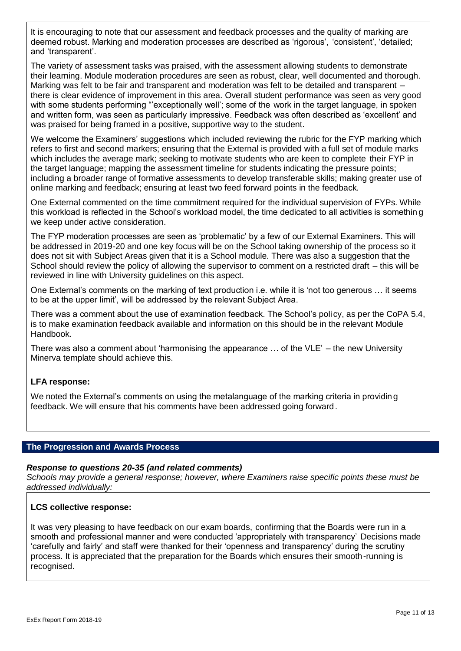It is encouraging to note that our assessment and feedback processes and the quality of marking are deemed robust. Marking and moderation processes are described as 'rigorous', 'consistent', 'detailed; and 'transparent'.

The variety of assessment tasks was praised, with the assessment allowing students to demonstrate their learning. Module moderation procedures are seen as robust, clear, well documented and thorough. Marking was felt to be fair and transparent and moderation was felt to be detailed and transparent – there is clear evidence of improvement in this area. Overall student performance was seen as very good with some students performing "'exceptionally well'; some of the work in the target language, in spoken and written form, was seen as particularly impressive. Feedback was often described as 'excellent' and was praised for being framed in a positive, supportive way to the student.

We welcome the Examiners' suggestions which included reviewing the rubric for the FYP marking which refers to first and second markers; ensuring that the External is provided with a full set of module marks which includes the average mark; seeking to motivate students who are keen to complete their FYP in the target language; mapping the assessment timeline for students indicating the pressure points; including a broader range of formative assessments to develop transferable skills; making greater use of online marking and feedback; ensuring at least two feed forward points in the feedback.

One External commented on the time commitment required for the individual supervision of FYPs. While this workload is reflected in the School's workload model, the time dedicated to all activities is somethin g we keep under active consideration.

The FYP moderation processes are seen as 'problematic' by a few of our External Examiners. This will be addressed in 2019-20 and one key focus will be on the School taking ownership of the process so it does not sit with Subject Areas given that it is a School module. There was also a suggestion that the School should review the policy of allowing the supervisor to comment on a restricted draft – this will be reviewed in line with University guidelines on this aspect.

One External's comments on the marking of text production i.e. while it is 'not too generous … it seems to be at the upper limit', will be addressed by the relevant Subject Area.

There was a comment about the use of examination feedback. The School's policy, as per the CoPA 5.4, is to make examination feedback available and information on this should be in the relevant Module Handbook.

There was also a comment about 'harmonising the appearance … of the VLE' – the new University Minerva template should achieve this.

## **LFA response:**

We noted the External's comments on using the metalanguage of the marking criteria in providing feedback. We will ensure that his comments have been addressed going forward.

## **The Progression and Awards Process**

#### *Response to questions 20-35 (and related comments)*

*Schools may provide a general response; however, where Examiners raise specific points these must be addressed individually:*

## **LCS collective response:**

It was very pleasing to have feedback on our exam boards, confirming that the Boards were run in a smooth and professional manner and were conducted 'appropriately with transparency' Decisions made 'carefully and fairly' and staff were thanked for their 'openness and transparency' during the scrutiny process. It is appreciated that the preparation for the Boards which ensures their smooth-running is recognised.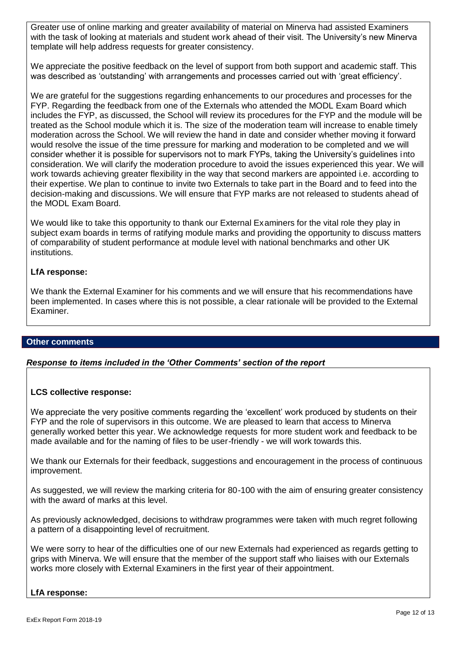Greater use of online marking and greater availability of material on Minerva had assisted Examiners with the task of looking at materials and student work ahead of their visit. The University's new Minerva template will help address requests for greater consistency.

We appreciate the positive feedback on the level of support from both support and academic staff. This was described as 'outstanding' with arrangements and processes carried out with 'great efficiency'.

We are grateful for the suggestions regarding enhancements to our procedures and processes for the FYP. Regarding the feedback from one of the Externals who attended the MODL Exam Board which includes the FYP, as discussed, the School will review its procedures for the FYP and the module will be treated as the School module which it is. The size of the moderation team will increase to enable timely moderation across the School. We will review the hand in date and consider whether moving it forward would resolve the issue of the time pressure for marking and moderation to be completed and we will consider whether it is possible for supervisors not to mark FYPs, taking the University's guidelines into consideration. We will clarify the moderation procedure to avoid the issues experienced this year. We will work towards achieving greater flexibility in the way that second markers are appointed i.e. according to their expertise. We plan to continue to invite two Externals to take part in the Board and to feed into the decision-making and discussions. We will ensure that FYP marks are not released to students ahead of the MODL Exam Board.

We would like to take this opportunity to thank our External Examiners for the vital role they play in subject exam boards in terms of ratifying module marks and providing the opportunity to discuss matters of comparability of student performance at module level with national benchmarks and other UK institutions.

#### **LfA response:**

We thank the External Examiner for his comments and we will ensure that his recommendations have been implemented. In cases where this is not possible, a clear rationale will be provided to the External Examiner.

## **Other comments**

## *Response to items included in the 'Other Comments' section of the report*

## **LCS collective response:**

We appreciate the very positive comments regarding the 'excellent' work produced by students on their FYP and the role of supervisors in this outcome. We are pleased to learn that access to Minerva generally worked better this year. We acknowledge requests for more student work and feedback to be made available and for the naming of files to be user-friendly - we will work towards this.

We thank our Externals for their feedback, suggestions and encouragement in the process of continuous improvement.

As suggested, we will review the marking criteria for 80-100 with the aim of ensuring greater consistency with the award of marks at this level.

As previously acknowledged, decisions to withdraw programmes were taken with much regret following a pattern of a disappointing level of recruitment.

We were sorry to hear of the difficulties one of our new Externals had experienced as regards getting to grips with Minerva. We will ensure that the member of the support staff who liaises with our Externals works more closely with External Examiners in the first year of their appointment.

## **LfA response:**